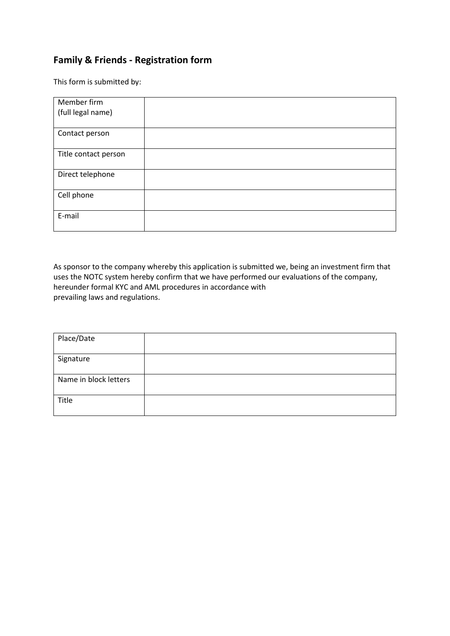### **Family & Friends - Registration form**

This form is submitted by:

| Member firm          |  |
|----------------------|--|
| (full legal name)    |  |
|                      |  |
| Contact person       |  |
| Title contact person |  |
|                      |  |
| Direct telephone     |  |
| Cell phone           |  |
|                      |  |
| E-mail               |  |
|                      |  |

As sponsor to the company whereby this application is submitted we, being an investment firm that uses the NOTC system hereby confirm that we have performed our evaluations of the company, hereunder formal KYC and AML procedures in accordance with prevailing laws and regulations.

| Place/Date            |  |
|-----------------------|--|
| Signature             |  |
| Name in block letters |  |
| Title                 |  |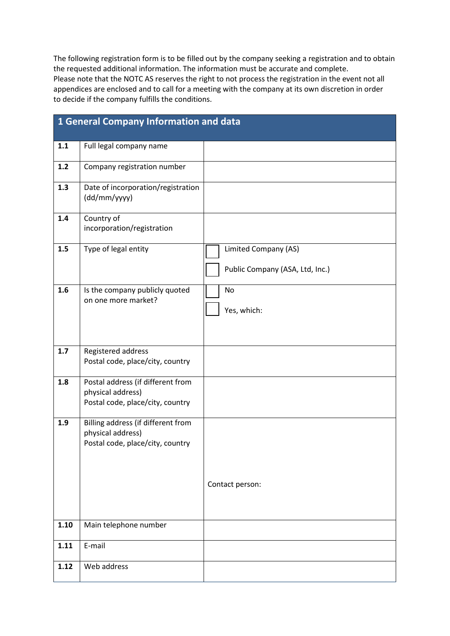The following registration form is to be filled out by the company seeking a registration and to obtain the requested additional information. The information must be accurate and complete. Please note that the NOTC AS reserves the right to not process the registration in the event not all appendices are enclosed and to call for a meeting with the company at its own discretion in order to decide if the company fulfills the conditions.

|       | 1 General Company Information and data                  |                                 |
|-------|---------------------------------------------------------|---------------------------------|
| 1.1   | Full legal company name                                 |                                 |
| $1.2$ | Company registration number                             |                                 |
| 1.3   | Date of incorporation/registration<br>(dd/mm/yyyy)      |                                 |
| 1.4   | Country of<br>incorporation/registration                |                                 |
| 1.5   | Type of legal entity                                    | Limited Company (AS)            |
|       |                                                         | Public Company (ASA, Ltd, Inc.) |
| 1.6   | Is the company publicly quoted<br>on one more market?   | No                              |
|       |                                                         | Yes, which:                     |
|       |                                                         |                                 |
| 1.7   | Registered address<br>Postal code, place/city, country  |                                 |
|       |                                                         |                                 |
| 1.8   | Postal address (if different from<br>physical address)  |                                 |
|       | Postal code, place/city, country                        |                                 |
| 1.9   | Billing address (if different from<br>physical address) |                                 |
|       | Postal code, place/city, country                        |                                 |
|       |                                                         |                                 |
|       |                                                         | Contact person:                 |
|       |                                                         |                                 |
|       |                                                         |                                 |
| 1.10  | Main telephone number                                   |                                 |
| 1.11  | E-mail                                                  |                                 |
| 1.12  | Web address                                             |                                 |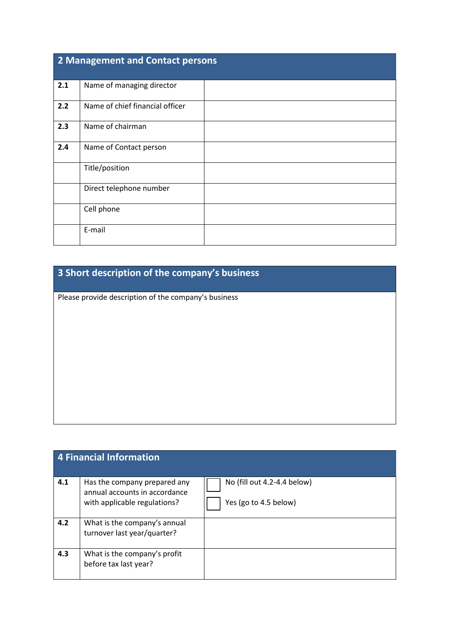| 2 Management and Contact persons |                                 |  |
|----------------------------------|---------------------------------|--|
| 2.1                              | Name of managing director       |  |
| 2.2                              | Name of chief financial officer |  |
| 2.3                              | Name of chairman                |  |
| 2.4                              | Name of Contact person          |  |
|                                  | Title/position                  |  |
|                                  | Direct telephone number         |  |
|                                  | Cell phone                      |  |
|                                  | E-mail                          |  |

# **3 Short description of the company's business**

Please provide description of the company's business

|     | 4 Financial Information                                                                       |                                                      |
|-----|-----------------------------------------------------------------------------------------------|------------------------------------------------------|
| 4.1 | Has the company prepared any<br>annual accounts in accordance<br>with applicable regulations? | No (fill out 4.2-4.4 below)<br>Yes (go to 4.5 below) |
| 4.2 | What is the company's annual<br>turnover last year/quarter?                                   |                                                      |
| 4.3 | What is the company's profit<br>before tax last year?                                         |                                                      |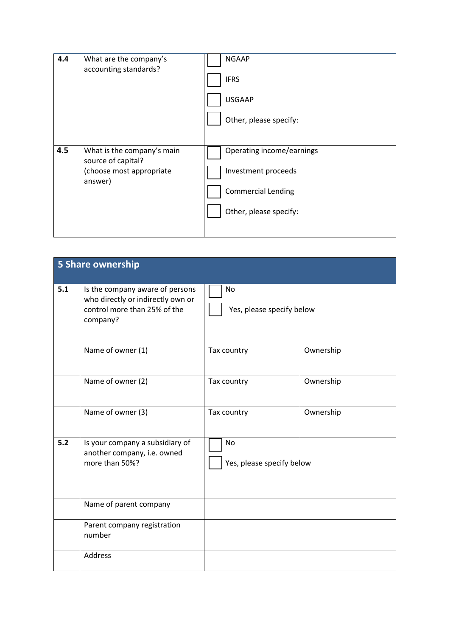| 4.4 | What are the company's<br>accounting standards?                                         | <b>NGAAP</b><br><b>IFRS</b><br><b>USGAAP</b><br>Other, please specify:                                  |
|-----|-----------------------------------------------------------------------------------------|---------------------------------------------------------------------------------------------------------|
| 4.5 | What is the company's main<br>source of capital?<br>(choose most appropriate<br>answer) | Operating income/earnings<br>Investment proceeds<br><b>Commercial Lending</b><br>Other, please specify: |

|     | 5 Share ownership                                                                                                |                                 |           |
|-----|------------------------------------------------------------------------------------------------------------------|---------------------------------|-----------|
| 5.1 | Is the company aware of persons<br>who directly or indirectly own or<br>control more than 25% of the<br>company? | No<br>Yes, please specify below |           |
|     | Name of owner (1)                                                                                                | Tax country                     | Ownership |
|     | Name of owner (2)                                                                                                | Tax country                     | Ownership |
|     | Name of owner (3)                                                                                                | Tax country                     | Ownership |
| 5.2 | Is your company a subsidiary of<br>another company, i.e. owned<br>more than 50%?                                 | No<br>Yes, please specify below |           |
|     | Name of parent company                                                                                           |                                 |           |
|     | Parent company registration<br>number                                                                            |                                 |           |
|     | Address                                                                                                          |                                 |           |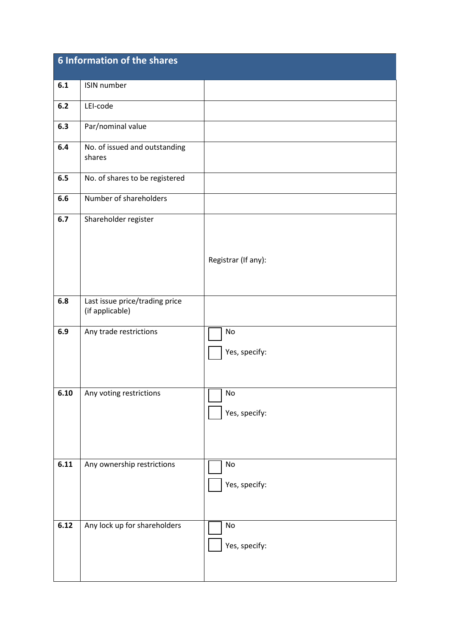|      | 6 Information of the shares                       |                                |
|------|---------------------------------------------------|--------------------------------|
| 6.1  | ISIN number                                       |                                |
| 6.2  | LEI-code                                          |                                |
| 6.3  | Par/nominal value                                 |                                |
| 6.4  | No. of issued and outstanding<br>shares           |                                |
| 6.5  | No. of shares to be registered                    |                                |
| 6.6  | Number of shareholders                            |                                |
| 6.7  | Shareholder register                              | Registrar (If any):            |
|      |                                                   |                                |
| 6.8  | Last issue price/trading price<br>(if applicable) |                                |
| 6.9  | Any trade restrictions                            | No<br>Yes, specify:            |
| 6.10 | Any voting restrictions                           | 1 No<br>Yes, specify:          |
| 6.11 | Any ownership restrictions                        | No<br>Yes, specify:            |
| 6.12 | Any lock up for shareholders                      | $\mathsf{No}$<br>Yes, specify: |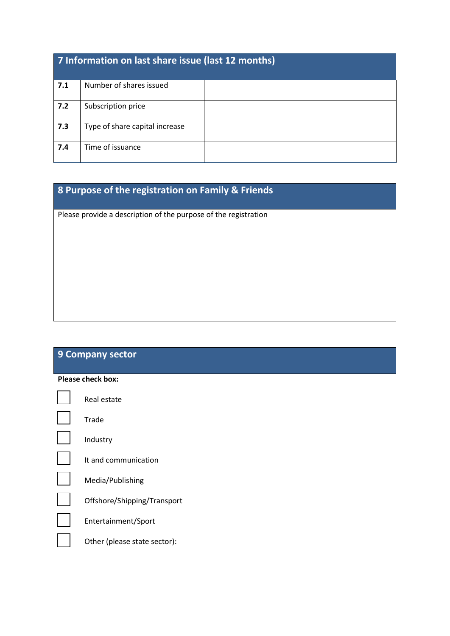| 7 Information on last share issue (last 12 months) |                                |  |
|----------------------------------------------------|--------------------------------|--|
| 7.1                                                | Number of shares issued        |  |
| 7.2                                                | Subscription price             |  |
| 7.3                                                | Type of share capital increase |  |
| 7.4                                                | Time of issuance               |  |

## **8 Purpose of the registration on Family & Friends**

Please provide a description of the purpose of the registration

### **9 Company sector**

| Please check box: |                              |  |
|-------------------|------------------------------|--|
|                   | Real estate                  |  |
|                   | Trade                        |  |
|                   | Industry                     |  |
|                   | It and communication         |  |
|                   | Media/Publishing             |  |
|                   | Offshore/Shipping/Transport  |  |
|                   | Entertainment/Sport          |  |
|                   | Other (please state sector): |  |
|                   |                              |  |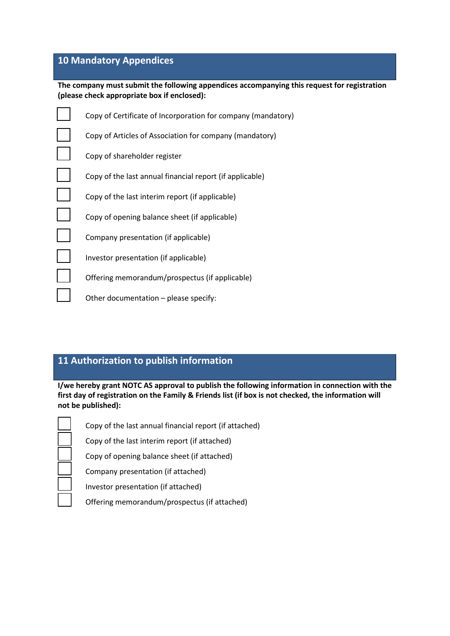#### **10 Mandatory Appendices**

**The company must submit the following appendices accompanying this request for registration (please check appropriate box if enclosed):**

| Copy of Certificate of Incorporation for company (mandatory) |
|--------------------------------------------------------------|
| Copy of Articles of Association for company (mandatory)      |
| Copy of shareholder register                                 |
| Copy of the last annual financial report (if applicable)     |
| Copy of the last interim report (if applicable)              |
| Copy of opening balance sheet (if applicable)                |
| Company presentation (if applicable)                         |
| Investor presentation (if applicable)                        |
| Offering memorandum/prospectus (if applicable)               |
| Other documentation - please specify:                        |

### **11 Authorization to publish information**

**I/we hereby grant NOTC AS approval to publish the following information in connection with the first day of registration on the Family & Friends list (if box is not checked, the information will not be published):**

Copy of the last annual financial report (if attached)

Copy of the last interim report (if attached)

Copy of opening balance sheet (if attached)

Company presentation (if attached)

Investor presentation (if attached)

Offering memorandum/prospectus (if attached)